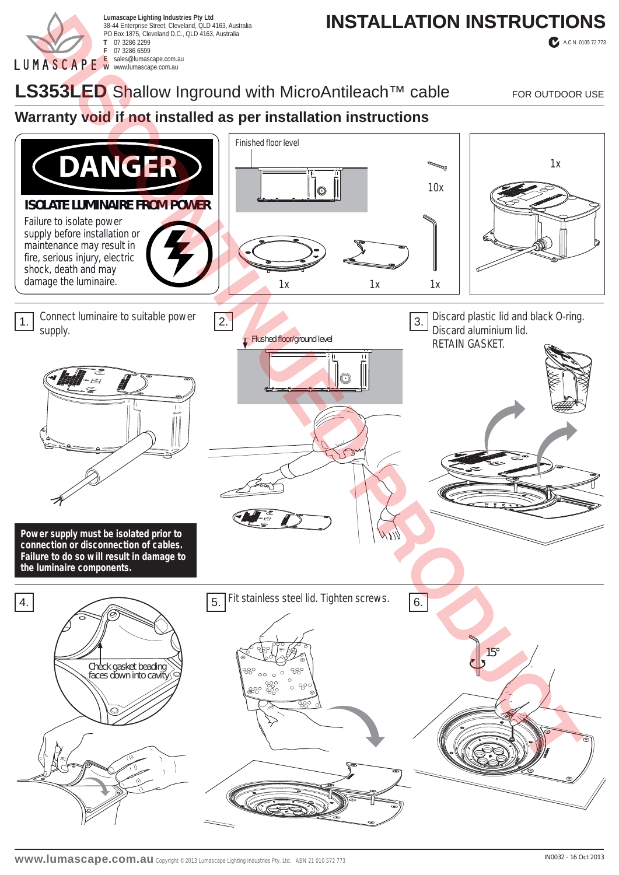

38-44 Enterprise Street, Cleveland, QLD 4163, Australia PO Box 1875, Cleveland D.C., QLD 4163, Australia **T** 07 3286 2299 **F** 07 3286 6599 **E** sales@lumascape.com.au **W** www.lumascape.com.au

# Lumascape Lighting Industries Pty Ltd<br>38-44 Enterprise Street, Cleveland, QLD 4163, Australia **INSTALLATION INSTRUCTIONS**

A.C.N. 0105 72 773

## LS353LED Shallow Inground with MicroAntileach<sup>™</sup> cable FOR OUTDOOR USE

#### **Warranty void if not installed as per installation instructions**